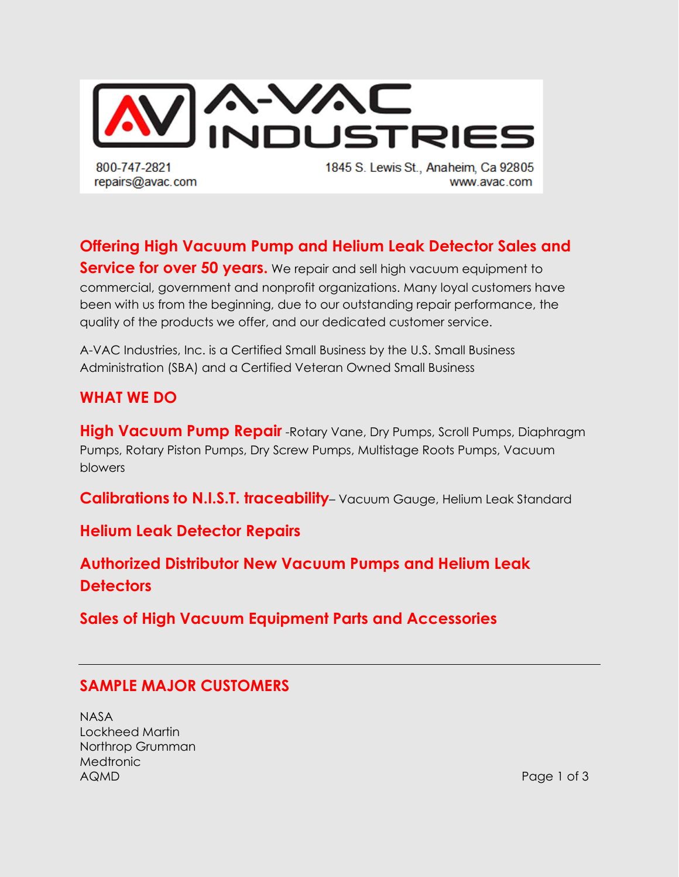

**Offering High Vacuum Pump and Helium Leak Detector Sales and Service for over 50 years.** We repair and sell high vacuum equipment to commercial, government and nonprofit organizations. Many loyal customers have been with us from the beginning, due to our outstanding repair performance, the quality of the products we offer, and our dedicated customer service.

A-VAC Industries, Inc. is a Certified Small Business by the U.S. Small Business Administration (SBA) and a Certified Veteran Owned Small Business

#### **WHAT WE DO**

**High Vacuum Pump Repair** -Rotary Vane, Dry Pumps, Scroll Pumps, Diaphragm Pumps, Rotary Piston Pumps, Dry Screw Pumps, Multistage Roots Pumps, Vacuum blowers

**Calibrations to N.I.S.T. traceability**– Vacuum Gauge, Helium Leak Standard

**Helium Leak Detector Repairs**

**Authorized Distributor New Vacuum Pumps and Helium Leak Detectors**

**Sales of High Vacuum Equipment Parts and Accessories**

#### **SAMPLE MAJOR CUSTOMERS**

NASA Lockheed Martin Northrop Grumman **Medtronic** AQMD Page 1 of 3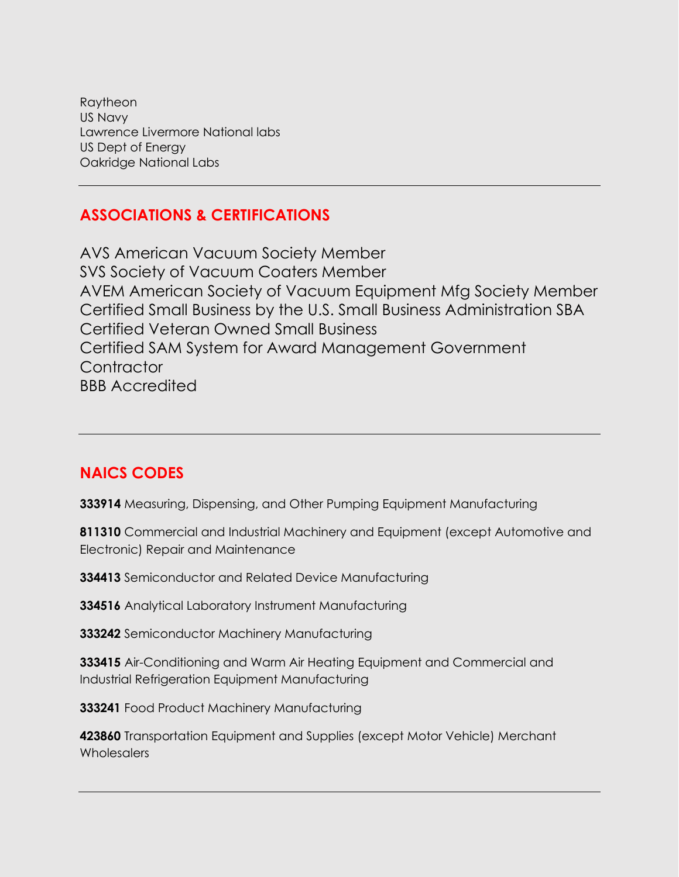Raytheon US Navy Lawrence Livermore National labs US Dept of Energy Oakridge National Labs

### **ASSOCIATIONS & CERTIFICATIONS**

AVS American Vacuum Society Member SVS Society of Vacuum Coaters Member AVEM American Society of Vacuum Equipment Mfg Society Member Certified Small Business by the U.S. Small Business Administration SBA Certified Veteran Owned Small Business Certified SAM System for Award Management Government **Contractor** BBB Accredited

#### **NAICS CODES**

**333914** Measuring, Dispensing, and Other Pumping Equipment Manufacturing

**811310** Commercial and Industrial Machinery and Equipment (except Automotive and Electronic) Repair and Maintenance

**334413** Semiconductor and Related Device Manufacturing

**334516** Analytical Laboratory Instrument Manufacturing

**333242** Semiconductor Machinery Manufacturing

**333415** Air-Conditioning and Warm Air Heating Equipment and Commercial and Industrial Refrigeration Equipment Manufacturing

**333241** Food Product Machinery Manufacturing

**423860** Transportation Equipment and Supplies (except Motor Vehicle) Merchant **Wholesalers**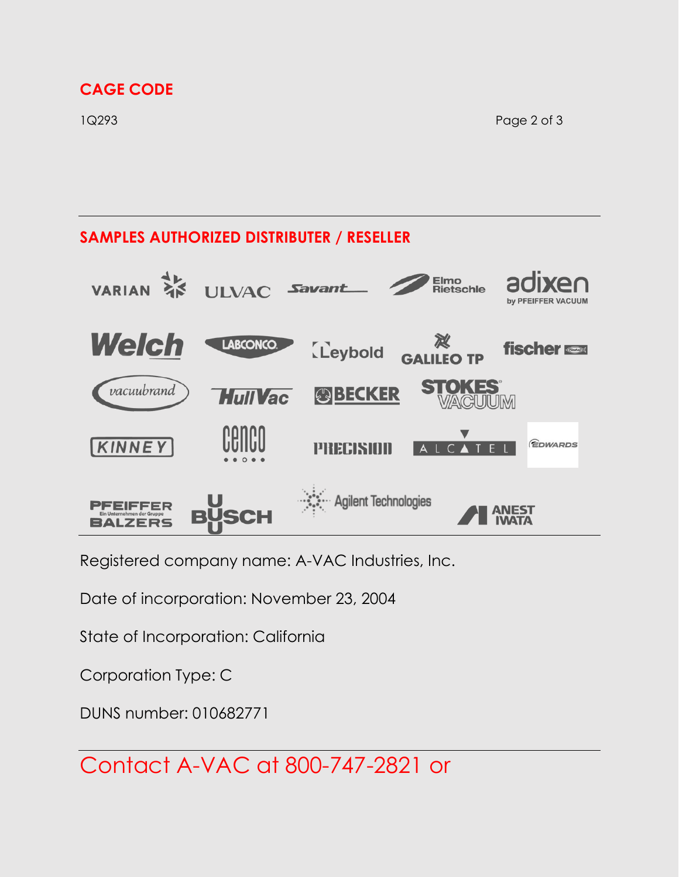## **CAGE CODE**

1Q293 Page 2 of 3

#### **SAMPLES AUTHORIZED DISTRIBUTER / RESELLER** Elmo<br>Rietschle **VARIAN ULVAC** Savant



Registered company name: A-VAC Industries, Inc.

Date of incorporation: November 23, 2004

State of Incorporation: California

Corporation Type: C

DUNS number: 010682771

Contact A-VAC at 800-747-2821 or